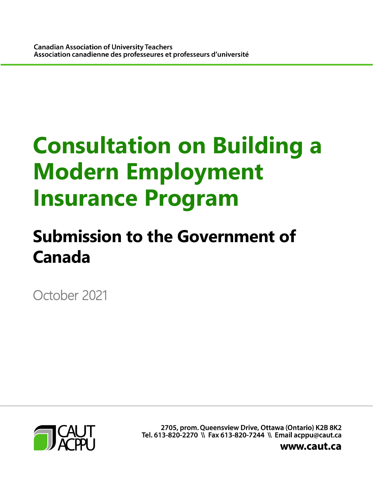# **Consultation on Building a Modern Employment Insurance Program**

# **Submission to the Government of Canada**

October 2021



2705, prom. Queensview Drive, Ottawa (Ontario) K2B 8K2 Tel. 613-820-2270 \\ Fax 613-820-7244 \\ Email acppu@caut.ca

www.caut.ca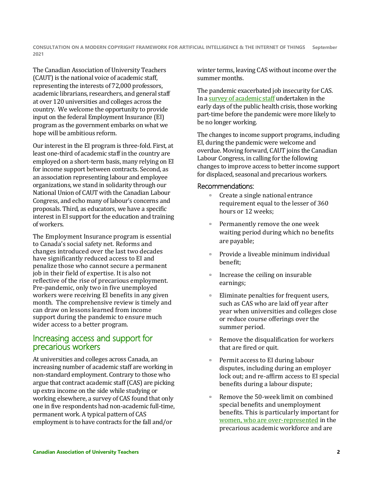**CONSULTATION ON A MODERN COPYRIGHT FRAMEWORK FOR ARTIFICIAL INTELLIGENCE & THE INTERNET OF THINGS September 2021**

The Canadian Association of University Teachers (CAUT) is the national voice of academic staff, representing the interests of 72,000 professors, academic librarians, researchers, and general staff at over 120 universities and colleges across the country. We welcome the opportunity to provide input on the federal Employment Insurance (EI) program as the government embarks on what we hope will be ambitious reform.

Our interest in the EI program is three-fold. First, at least one-third of academic staff in the country are employed on a short-term basis, many relying on EI for income support between contracts. Second, as an association representing labour and employee organizations, we stand in solidarity through our National Union of CAUT with the Canadian Labour Congress, and echo many of labour's concerns and proposals. Third, as educators, we have a specific interest in EI support for the education and training of workers.

The Employment Insurance program is essential to Canada's social safety net. Reforms and changes introduced over the last two decades have significantly reduced access to EI and penalize those who cannot secure a permanent job in their field of expertise. It is also not reflective of the rise of precarious employment. Pre-pandemic, only two in five unemployed workers were receiving EI benefits in any given month. The comprehensive review is timely and can draw on lessons learned from income support during the pandemic to ensure much wider access to a better program.

### Increasing access and support for precarious workers

At universities and colleges across Canada, an increasing number of academic staff are working in non-standard employment. Contrary to those who argue that contract academic staff (CAS) are picking up extra income on the side while studying or working elsewhere, a survey of CAS found that only one in five respondents had non-academic full-time, permanent work. A typical pattern of CAS employment is to have contracts for the fall and/or

winter terms, leaving CAS without income over the summer months.

The pandemic exacerbated job insecurity for CAS. In a [survey of academic staff](https://www.caut.ca/sites/default/files/covid_release-impacts_of_pandemic-en-final-08-19-20.pdf) undertaken in the early days of the public health crisis, those working part-time before the pandemic were more likely to be no longer working.

The changes to income support programs, including EI, during the pandemic were welcome and overdue. Moving forward, CAUT joins the Canadian Labour Congress, in calling for the following changes to improve access to better income support for displaced, seasonal and precarious workers.

#### Recommendations:

- Create a single national entrance requirement equal to the lesser of 360 hours or 12 weeks;
- Permanently remove the one week waiting period during which no benefits are payable;
- Provide a liveable minimum individual benefit;
- Increase the ceiling on insurable earnings;
- Eliminate penalties for frequent users, such as CAS who are laid off year after year when universities and colleges close or reduce course offerings over the summer period.
- Remove the disqualification for workers that are fired or quit.
- Permit access to EI during labour disputes, including during an employer lock out; and re-affirm access to EI special benefits during a labour dispute;
- Remove the 50-week limit on combined special benefits and unemployment benefits. This is particularly important for [women, who are over-represented](https://www.caut.ca/sites/default/files/caut_equity_report_2018-04final.pdf) in the precarious academic workforce and are